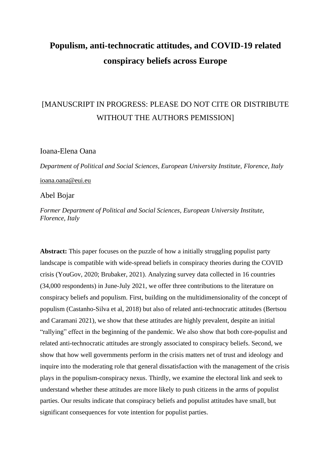# **Populism, anti-technocratic attitudes, and COVID-19 related conspiracy beliefs across Europe**

# [MANUSCRIPT IN PROGRESS: PLEASE DO NOT CITE OR DISTRIBUTE WITHOUT THE AUTHORS PEMISSION]

## Ioana-Elena Oana

*Department of Political and Social Sciences, European University Institute, Florence, Italy* [ioana.oana@eui.eu](mailto:ioana.oana@eui.eu)

## Abel Bojar

*Former Department of Political and Social Sciences, European University Institute, Florence, Italy*

**Abstract:** This paper focuses on the puzzle of how a initially struggling populist party landscape is compatible with wide-spread beliefs in conspiracy theories during the COVID crisis (YouGov, 2020; Brubaker, 2021). Analyzing survey data collected in 16 countries (34,000 respondents) in June-July 2021, we offer three contributions to the literature on conspiracy beliefs and populism. First, building on the multidimensionality of the concept of populism (Castanho-Silva et al, 2018) but also of related anti-technocratic attitudes (Bertsou and Caramani 2021), we show that these attitudes are highly prevalent, despite an initial "rallying" effect in the beginning of the pandemic. We also show that both core-populist and related anti-technocratic attitudes are strongly associated to conspiracy beliefs. Second, we show that how well governments perform in the crisis matters net of trust and ideology and inquire into the moderating role that general dissatisfaction with the management of the crisis plays in the populism-conspiracy nexus. Thirdly, we examine the electoral link and seek to understand whether these attitudes are more likely to push citizens in the arms of populist parties. Our results indicate that conspiracy beliefs and populist attitudes have small, but significant consequences for vote intention for populist parties.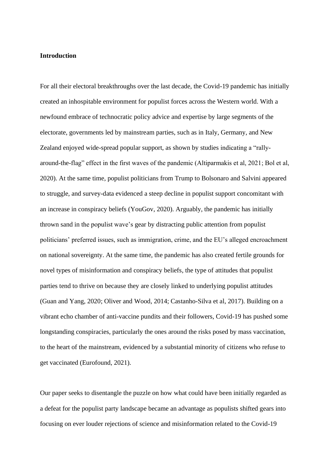#### **Introduction**

For all their electoral breakthroughs over the last decade, the Covid-19 pandemic has initially created an inhospitable environment for populist forces across the Western world. With a newfound embrace of technocratic policy advice and expertise by large segments of the electorate, governments led by mainstream parties, such as in Italy, Germany, and New Zealand enjoyed wide-spread popular support, as shown by studies indicating a "rallyaround-the-flag" effect in the first waves of the pandemic (Altiparmakis et al, 2021; Bol et al, 2020). At the same time, populist politicians from Trump to Bolsonaro and Salvini appeared to struggle, and survey-data evidenced a steep decline in populist support concomitant with an increase in conspiracy beliefs (YouGov, 2020). Arguably, the pandemic has initially thrown sand in the populist wave's gear by distracting public attention from populist politicians' preferred issues, such as immigration, crime, and the EU's alleged encroachment on national sovereignty. At the same time, the pandemic has also created fertile grounds for novel types of misinformation and conspiracy beliefs, the type of attitudes that populist parties tend to thrive on because they are closely linked to underlying populist attitudes (Guan and Yang, 2020; Oliver and Wood, 2014; Castanho-Silva et al, 2017). Building on a vibrant echo chamber of anti-vaccine pundits and their followers, Covid-19 has pushed some longstanding conspiracies, particularly the ones around the risks posed by mass vaccination, to the heart of the mainstream, evidenced by a substantial minority of citizens who refuse to get vaccinated (Eurofound, 2021).

Our paper seeks to disentangle the puzzle on how what could have been initially regarded as a defeat for the populist party landscape became an advantage as populists shifted gears into focusing on ever louder rejections of science and misinformation related to the Covid-19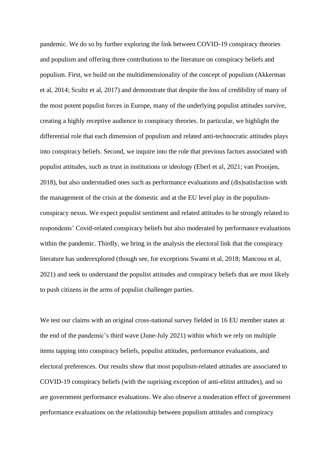pandemic. We do so by further exploring the link between COVID-19 conspiracy theories and populism and offering three contributions to the literature on conspiracy beliefs and populism. First, we build on the multidimensionality of the concept of populism (Akkerman et al, 2014; Scultz et al, 2017) and demonstrate that despite the loss of credibility of many of the most potent populist forces in Europe, many of the underlying populist attitudes survive, creating a highly receptive audience to conspiracy theories. In particular, we highlight the differential role that each dimension of populism and related anti-technocratic attitudes plays into conspiracy beliefs. Second, we inquire into the role that previous factors associated with populist attitudes, such as trust in institutions or ideology (Eberl et al, 2021; van Prooijen, 2018), but also understudied ones such as performance evaluations and (dis)satisfaction with the management of the crisis at the domestic and at the EU level play in the populismconspiracy nexus. We expect populist sentiment and related attitudes to be strongly related to respondents' Covid-related conspiracy beliefs but also moderated by performance evaluations within the pandemic. Thirdly, we bring in the analysis the electoral link that the conspiracy literature has underexplored (though see, for exceptions Swami et al, 2018; Mancosu et al, 2021) and seek to understand the populist attitudes and conspiracy beliefs that are most likely to push citizens in the arms of populist challenger parties.

We test our claims with an original cross-national survey fielded in 16 EU member states at the end of the pandemic's third wave (June-July 2021) within which we rely on multiple items tapping into conspiracy beliefs, populist attitudes, performance evaluations, and electoral preferences. Our results show that most populism-related attitudes are associated to COVID-19 conspiracy beliefs (with the suprising exception of anti-elitist attitudes), and so are government performance evaluations. We also observe a moderation effect of government performance evaluations on the relationship between populism attitudes and conspiracy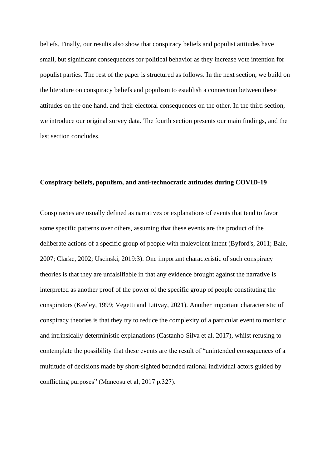beliefs. Finally, our results also show that conspiracy beliefs and populist attitudes have small, but significant consequences for political behavior as they increase vote intention for populist parties. The rest of the paper is structured as follows. In the next section, we build on the literature on conspiracy beliefs and populism to establish a connection between these attitudes on the one hand, and their electoral consequences on the other. In the third section, we introduce our original survey data. The fourth section presents our main findings, and the last section concludes.

#### **Conspiracy beliefs, populism, and anti-technocratic attitudes during COVID-19**

Conspiracies are usually defined as narratives or explanations of events that tend to favor some specific patterns over others, assuming that these events are the product of the deliberate actions of a specific group of people with malevolent intent (Byford's, 2011; Bale, 2007; Clarke, 2002; Uscinski, 2019:3). One important characteristic of such conspiracy theories is that they are unfalsifiable in that any evidence brought against the narrative is interpreted as another proof of the power of the specific group of people constituting the conspirators (Keeley, 1999; Vegetti and Littvay, 2021). Another important characteristic of conspiracy theories is that they try to reduce the complexity of a particular event to monistic and intrinsically deterministic explanations (Castanho-Silva et al. 2017), whilst refusing to contemplate the possibility that these events are the result of "unintended consequences of a multitude of decisions made by short-sighted bounded rational individual actors guided by conflicting purposes" (Mancosu et al, 2017 p.327).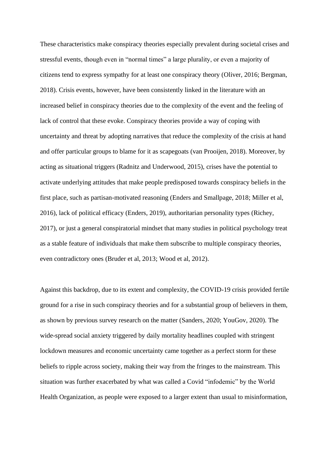These characteristics make conspiracy theories especially prevalent during societal crises and stressful events, though even in "normal times" a large plurality, or even a majority of citizens tend to express sympathy for at least one conspiracy theory (Oliver, 2016; Bergman, 2018). Crisis events, however, have been consistently linked in the literature with an increased belief in conspiracy theories due to the complexity of the event and the feeling of lack of control that these evoke. Conspiracy theories provide a way of coping with uncertainty and threat by adopting narratives that reduce the complexity of the crisis at hand and offer particular groups to blame for it as scapegoats (van Prooijen, 2018). Moreover, by acting as situational triggers (Radnitz and Underwood, 2015), crises have the potential to activate underlying attitudes that make people predisposed towards conspiracy beliefs in the first place, such as partisan-motivated reasoning (Enders and Smallpage, 2018; Miller et al, 2016), lack of political efficacy (Enders, 2019), authoritarian personality types (Richey, 2017), or just a general conspiratorial mindset that many studies in political psychology treat as a stable feature of individuals that make them subscribe to multiple conspiracy theories, even contradictory ones (Bruder et al, 2013; Wood et al, 2012).

Against this backdrop, due to its extent and complexity, the COVID-19 crisis provided fertile ground for a rise in such conspiracy theories and for a substantial group of believers in them, as shown by previous survey research on the matter (Sanders, 2020; YouGov, 2020). The wide-spread social anxiety triggered by daily mortality headlines coupled with stringent lockdown measures and economic uncertainty came together as a perfect storm for these beliefs to ripple across society, making their way from the fringes to the mainstream. This situation was further exacerbated by what was called a Covid "infodemic" by the World Health Organization, as people were exposed to a larger extent than usual to misinformation,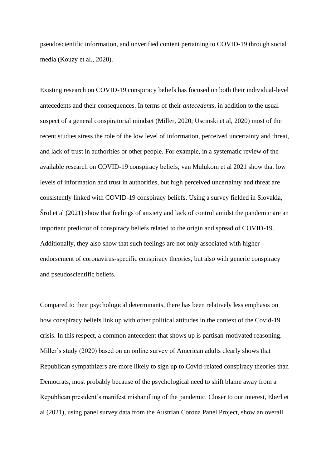pseudoscientific information, and unverified content pertaining to COVID-19 through social media (Kouzy et al., 2020).

Existing research on COVID-19 conspiracy beliefs has focused on both their individual-level antecedents and their consequences. In terms of their *antecedents*, in addition to the usual suspect of a general conspiratorial mindset (Miller, 2020; Uscinski et al, 2020) most of the recent studies stress the role of the low level of information, perceived uncertainty and threat, and lack of trust in authorities or other people. For example, in a systematic review of the available research on COVID-19 conspiracy beliefs, van Mulukom et al 2021 show that low levels of information and trust in authorities, but high perceived uncertainty and threat are consistently linked with COVID-19 conspiracy beliefs. Using a survey fielded in Slovakia, Šrol et al (2021) show that feelings of anxiety and lack of control amidst the pandemic are an important predictor of conspiracy beliefs related to the origin and spread of COVID-19. Additionally, they also show that such feelings are not only associated with higher endorsement of coronavirus-specific conspiracy theories, but also with generic conspiracy and pseudoscientific beliefs.

Compared to their psychological determinants, there has been relatively less emphasis on how conspiracy beliefs link up with other political attitudes in the context of the Covid-19 crisis. In this respect, a common antecedent that shows up is partisan-motivated reasoning. Miller's study (2020) based on an online survey of American adults clearly shows that Republican sympathizers are more likely to sign up to Covid-related conspiracy theories than Democrats, most probably because of the psychological need to shift blame away from a Republican president's manifest mishandling of the pandemic. Closer to our interest, Eberl et al (2021), using panel survey data from the Austrian Corona Panel Project, show an overall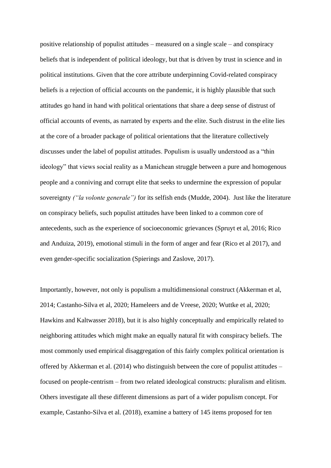positive relationship of populist attitudes – measured on a single scale – and conspiracy beliefs that is independent of political ideology, but that is driven by trust in science and in political institutions. Given that the core attribute underpinning Covid-related conspiracy beliefs is a rejection of official accounts on the pandemic, it is highly plausible that such attitudes go hand in hand with political orientations that share a deep sense of distrust of official accounts of events, as narrated by experts and the elite. Such distrust in the elite lies at the core of a broader package of political orientations that the literature collectively discusses under the label of populist attitudes. Populism is usually understood as a "thin ideology" that views social reality as a Manichean struggle between a pure and homogenous people and a conniving and corrupt elite that seeks to undermine the expression of popular sovereignty *("la volonte generale")* for its selfish ends (Mudde, 2004). Just like the literature on conspiracy beliefs, such populist attitudes have been linked to a common core of antecedents, such as the experience of socioeconomic grievances (Spruyt et al, 2016; Rico and Anduiza, 2019), emotional stimuli in the form of anger and fear (Rico et al 2017), and even gender-specific socialization (Spierings and Zaslove, 2017).

Importantly, however, not only is populism a multidimensional construct (Akkerman et al, 2014; Castanho-Silva et al, 2020; Hameleers and de Vreese, 2020; Wuttke et al, 2020; Hawkins and Kaltwasser 2018), but it is also highly conceptually and empirically related to neighboring attitudes which might make an equally natural fit with conspiracy beliefs. The most commonly used empirical disaggregation of this fairly complex political orientation is offered by Akkerman et al. (2014) who distinguish between the core of populist attitudes – focused on people-centrism – from two related ideological constructs: pluralism and elitism. Others investigate all these different dimensions as part of a wider populism concept. For example, Castanho-Silva et al. (2018), examine a battery of 145 items proposed for ten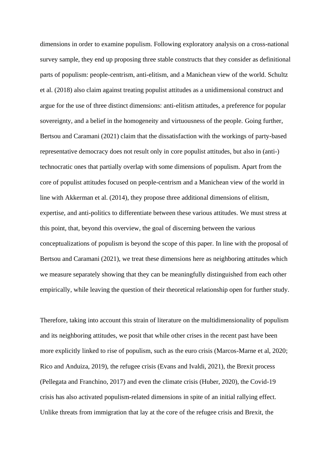dimensions in order to examine populism. Following exploratory analysis on a cross-national survey sample, they end up proposing three stable constructs that they consider as definitional parts of populism: people-centrism, anti-elitism, and a Manichean view of the world. Schultz et al. (2018) also claim against treating populist attitudes as a unidimensional construct and argue for the use of three distinct dimensions: anti-elitism attitudes, a preference for popular sovereignty, and a belief in the homogeneity and virtuousness of the people. Going further, Bertsou and Caramani (2021) claim that the dissatisfaction with the workings of party-based representative democracy does not result only in core populist attitudes, but also in (anti-) technocratic ones that partially overlap with some dimensions of populism. Apart from the core of populist attitudes focused on people-centrism and a Manichean view of the world in line with Akkerman et al. (2014), they propose three additional dimensions of elitism, expertise, and anti-politics to differentiate between these various attitudes. We must stress at this point, that, beyond this overview, the goal of discerning between the various conceptualizations of populism is beyond the scope of this paper. In line with the proposal of Bertsou and Caramani (2021), we treat these dimensions here as neighboring attitudes which we measure separately showing that they can be meaningfully distinguished from each other empirically, while leaving the question of their theoretical relationship open for further study.

Therefore, taking into account this strain of literature on the multidimensionality of populism and its neighboring attitudes, we posit that while other crises in the recent past have been more explicitly linked to rise of populism, such as the euro crisis (Marcos-Marne et al, 2020; Rico and Anduiza, 2019), the refugee crisis (Evans and Ivaldi, 2021), the Brexit process (Pellegata and Franchino, 2017) and even the climate crisis (Huber, 2020), the Covid-19 crisis has also activated populism-related dimensions in spite of an initial rallying effect. Unlike threats from immigration that lay at the core of the refugee crisis and Brexit, the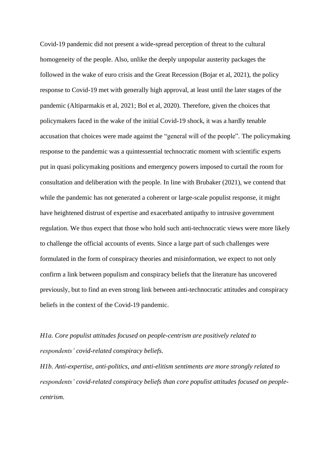Covid-19 pandemic did not present a wide-spread perception of threat to the cultural homogeneity of the people. Also, unlike the deeply unpopular austerity packages the followed in the wake of euro crisis and the Great Recession (Bojar et al, 2021), the policy response to Covid-19 met with generally high approval, at least until the later stages of the pandemic (Altiparmakis et al, 2021; Bol et al, 2020). Therefore, given the choices that policymakers faced in the wake of the initial Covid-19 shock, it was a hardly tenable accusation that choices were made against the "general will of the people". The policymaking response to the pandemic was a quintessential technocratic moment with scientific experts put in quasi policymaking positions and emergency powers imposed to curtail the room for consultation and deliberation with the people. In line with Brubaker (2021), we contend that while the pandemic has not generated a coherent or large-scale populist response, it might have heightened distrust of expertise and exacerbated antipathy to intrusive government regulation. We thus expect that those who hold such anti-technocratic views were more likely to challenge the official accounts of events. Since a large part of such challenges were formulated in the form of conspiracy theories and misinformation, we expect to not only confirm a link between populism and conspiracy beliefs that the literature has uncovered previously, but to find an even strong link between anti-technocratic attitudes and conspiracy beliefs in the context of the Covid-19 pandemic.

# *H1a. Core populist attitudes focused on people-centrism are positively related to respondents' covid-related conspiracy beliefs.*

*H1b. Anti-expertise, anti-politics, and anti-elitism sentiments are more strongly related to respondents' covid-related conspiracy beliefs than core populist attitudes focused on peoplecentrism.*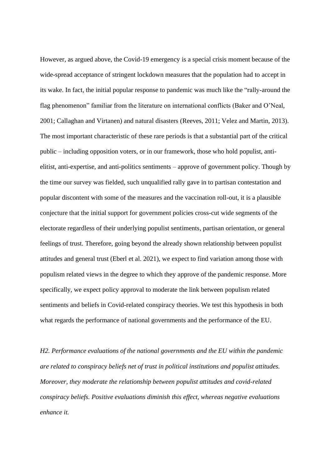However, as argued above, the Covid-19 emergency is a special crisis moment because of the wide-spread acceptance of stringent lockdown measures that the population had to accept in its wake. In fact, the initial popular response to pandemic was much like the "rally-around the flag phenomenon" familiar from the literature on international conflicts (Baker and O'Neal, 2001; Callaghan and Virtanen) and natural disasters (Reeves, 2011; Velez and Martin, 2013). The most important characteristic of these rare periods is that a substantial part of the critical public – including opposition voters, or in our framework, those who hold populist, antielitist, anti-expertise, and anti-politics sentiments – approve of government policy. Though by the time our survey was fielded, such unqualified rally gave in to partisan contestation and popular discontent with some of the measures and the vaccination roll-out, it is a plausible conjecture that the initial support for government policies cross-cut wide segments of the electorate regardless of their underlying populist sentiments, partisan orientation, or general feelings of trust. Therefore, going beyond the already shown relationship between populist attitudes and general trust (Eberl et al. 2021), we expect to find variation among those with populism related views in the degree to which they approve of the pandemic response. More specifically, we expect policy approval to moderate the link between populism related sentiments and beliefs in Covid-related conspiracy theories. We test this hypothesis in both what regards the performance of national governments and the performance of the EU.

*H2. Performance evaluations of the national governments and the EU within the pandemic are related to conspiracy beliefs net of trust in political institutions and populist attitudes. Moreover, they moderate the relationship between populist attitudes and covid-related conspiracy beliefs. Positive evaluations diminish this effect, whereas negative evaluations enhance it.*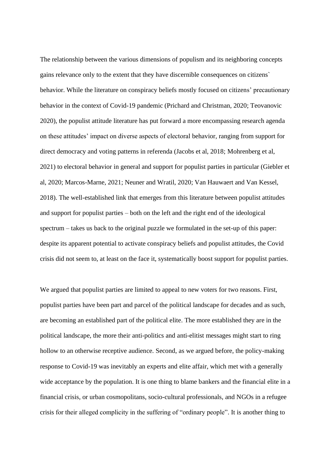The relationship between the various dimensions of populism and its neighboring concepts gains relevance only to the extent that they have discernible consequences on citizens` behavior. While the literature on conspiracy beliefs mostly focused on citizens' precautionary behavior in the context of Covid-19 pandemic (Prichard and Christman, 2020; Teovanovic 2020), the populist attitude literature has put forward a more encompassing research agenda on these attitudes' impact on diverse aspects of electoral behavior, ranging from support for direct democracy and voting patterns in referenda (Jacobs et al, 2018; Mohrenberg et al, 2021) to electoral behavior in general and support for populist parties in particular (Giebler et al, 2020; Marcos-Marne, 2021; Neuner and Wratil, 2020; Van Hauwaert and Van Kessel, 2018). The well-established link that emerges from this literature between populist attitudes and support for populist parties – both on the left and the right end of the ideological spectrum – takes us back to the original puzzle we formulated in the set-up of this paper: despite its apparent potential to activate conspiracy beliefs and populist attitudes, the Covid crisis did not seem to, at least on the face it, systematically boost support for populist parties.

We argued that populist parties are limited to appeal to new voters for two reasons. First, populist parties have been part and parcel of the political landscape for decades and as such, are becoming an established part of the political elite. The more established they are in the political landscape, the more their anti-politics and anti-elitist messages might start to ring hollow to an otherwise receptive audience. Second, as we argued before, the policy-making response to Covid-19 was inevitably an experts and elite affair, which met with a generally wide acceptance by the population. It is one thing to blame bankers and the financial elite in a financial crisis, or urban cosmopolitans, socio-cultural professionals, and NGOs in a refugee crisis for their alleged complicity in the suffering of "ordinary people". It is another thing to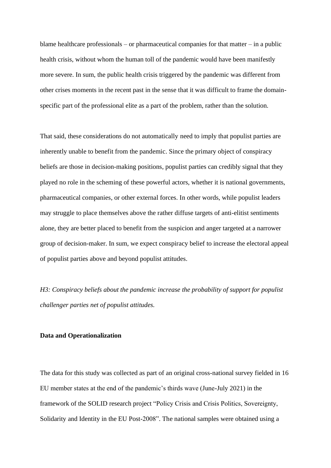blame healthcare professionals – or pharmaceutical companies for that matter – in a public health crisis, without whom the human toll of the pandemic would have been manifestly more severe. In sum, the public health crisis triggered by the pandemic was different from other crises moments in the recent past in the sense that it was difficult to frame the domainspecific part of the professional elite as a part of the problem, rather than the solution.

That said, these considerations do not automatically need to imply that populist parties are inherently unable to benefit from the pandemic. Since the primary object of conspiracy beliefs are those in decision-making positions, populist parties can credibly signal that they played no role in the scheming of these powerful actors, whether it is national governments, pharmaceutical companies, or other external forces. In other words, while populist leaders may struggle to place themselves above the rather diffuse targets of anti-elitist sentiments alone, they are better placed to benefit from the suspicion and anger targeted at a narrower group of decision-maker. In sum, we expect conspiracy belief to increase the electoral appeal of populist parties above and beyond populist attitudes.

*H3: Conspiracy beliefs about the pandemic increase the probability of support for populist challenger parties net of populist attitudes.*

#### **Data and Operationalization**

The data for this study was collected as part of an original cross-national survey fielded in 16 EU member states at the end of the pandemic's thirds wave (June-July 2021) in the framework of the SOLID research project "Policy Crisis and Crisis Politics, Sovereignty, Solidarity and Identity in the EU Post-2008". The national samples were obtained using a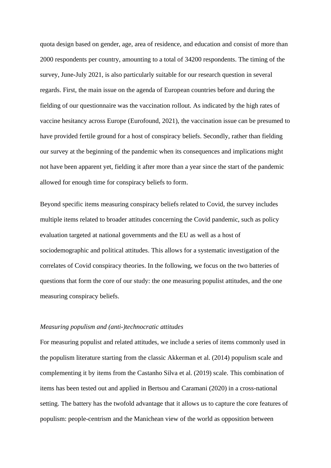quota design based on gender, age, area of residence, and education and consist of more than 2000 respondents per country, amounting to a total of 34200 respondents. The timing of the survey, June-July 2021, is also particularly suitable for our research question in several regards. First, the main issue on the agenda of European countries before and during the fielding of our questionnaire was the vaccination rollout. As indicated by the high rates of vaccine hesitancy across Europe (Eurofound, 2021), the vaccination issue can be presumed to have provided fertile ground for a host of conspiracy beliefs. Secondly, rather than fielding our survey at the beginning of the pandemic when its consequences and implications might not have been apparent yet, fielding it after more than a year since the start of the pandemic allowed for enough time for conspiracy beliefs to form.

Beyond specific items measuring conspiracy beliefs related to Covid, the survey includes multiple items related to broader attitudes concerning the Covid pandemic, such as policy evaluation targeted at national governments and the EU as well as a host of sociodemographic and political attitudes. This allows for a systematic investigation of the correlates of Covid conspiracy theories. In the following, we focus on the two batteries of questions that form the core of our study: the one measuring populist attitudes, and the one measuring conspiracy beliefs.

#### *Measuring populism and (anti-)technocratic attitudes*

For measuring populist and related attitudes, we include a series of items commonly used in the populism literature starting from the classic Akkerman et al. (2014) populism scale and complementing it by items from the Castanho Silva et al. (2019) scale. This combination of items has been tested out and applied in Bertsou and Caramani (2020) in a cross-national setting. The battery has the twofold advantage that it allows us to capture the core features of populism: people-centrism and the Manichean view of the world as opposition between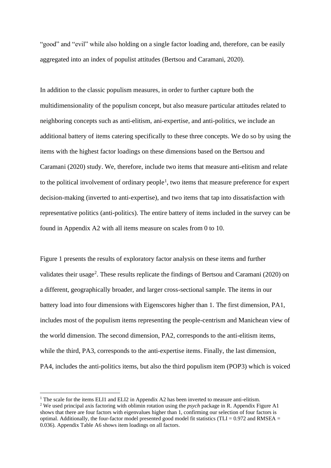"good" and "evil" while also holding on a single factor loading and, therefore, can be easily aggregated into an index of populist attitudes (Bertsou and Caramani, 2020).

In addition to the classic populism measures, in order to further capture both the multidimensionality of the populism concept, but also measure particular attitudes related to neighboring concepts such as anti-elitism, ani-expertise, and anti-politics, we include an additional battery of items catering specifically to these three concepts. We do so by using the items with the highest factor loadings on these dimensions based on the Bertsou and Caramani (2020) study. We, therefore, include two items that measure anti-elitism and relate to the political involvement of ordinary people<sup>1</sup>, two items that measure preference for expert decision-making (inverted to anti-expertise), and two items that tap into dissatisfaction with representative politics (anti-politics). The entire battery of items included in the survey can be found in Appendix A2 with all items measure on scales from 0 to 10.

Figure 1 presents the results of exploratory factor analysis on these items and further validates their usage<sup>2</sup>. These results replicate the findings of Bertsou and Caramani (2020) on a different, geographically broader, and larger cross-sectional sample. The items in our battery load into four dimensions with Eigenscores higher than 1. The first dimension, PA1, includes most of the populism items representing the people-centrism and Manichean view of the world dimension. The second dimension, PA2, corresponds to the anti-elitism items, while the third, PA3, corresponds to the anti-expertise items. Finally, the last dimension, PA4, includes the anti-politics items, but also the third populism item (POP3) which is voiced

<sup>&</sup>lt;sup>1</sup> The scale for the items ELI1 and ELI2 in Appendix A2 has been inverted to measure anti-elitism.

<sup>2</sup> We used principal axis factoring with oblimin rotation using the *psych* package in R. Appendix Figure A1 shows that there are four factors with eigenvalues higher than 1, confirming our selection of four factors is optimal. Additionally, the four-factor model presented good model fit statistics (TLI =  $0.972$  and RMSEA = 0.036). Appendix Table A6 shows item loadings on all factors.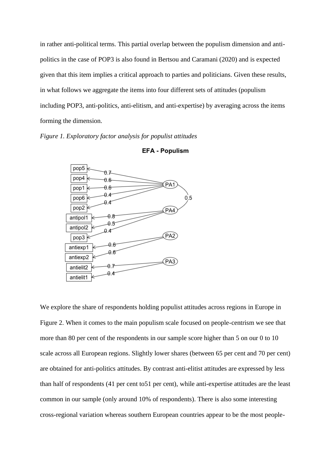in rather anti-political terms. This partial overlap between the populism dimension and antipolitics in the case of POP3 is also found in Bertsou and Caramani (2020) and is expected given that this item implies a critical approach to parties and politicians. Given these results, in what follows we aggregate the items into four different sets of attitudes (populism including POP3, anti-politics, anti-elitism, and anti-expertise) by averaging across the items forming the dimension.

*Figure 1. Exploratory factor analysis for populist attitudes*





We explore the share of respondents holding populist attitudes across regions in Europe in Figure 2. When it comes to the main populism scale focused on people-centrism we see that more than 80 per cent of the respondents in our sample score higher than 5 on our 0 to 10 scale across all European regions. Slightly lower shares (between 65 per cent and 70 per cent) are obtained for anti-politics attitudes. By contrast anti-elitist attitudes are expressed by less than half of respondents (41 per cent to51 per cent), while anti-expertise attitudes are the least common in our sample (only around 10% of respondents). There is also some interesting cross-regional variation whereas southern European countries appear to be the most people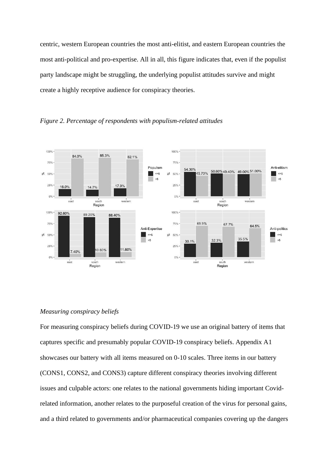centric, western European countries the most anti-elitist, and eastern European countries the most anti-political and pro-expertise. All in all, this figure indicates that, even if the populist party landscape might be struggling, the underlying populist attitudes survive and might create a highly receptive audience for conspiracy theories.





## *Measuring conspiracy beliefs*

For measuring conspiracy beliefs during COVID-19 we use an original battery of items that captures specific and presumably popular COVID-19 conspiracy beliefs. Appendix A1 showcases our battery with all items measured on 0-10 scales. Three items in our battery (CONS1, CONS2, and CONS3) capture different conspiracy theories involving different issues and culpable actors: one relates to the national governments hiding important Covidrelated information, another relates to the purposeful creation of the virus for personal gains, and a third related to governments and/or pharmaceutical companies covering up the dangers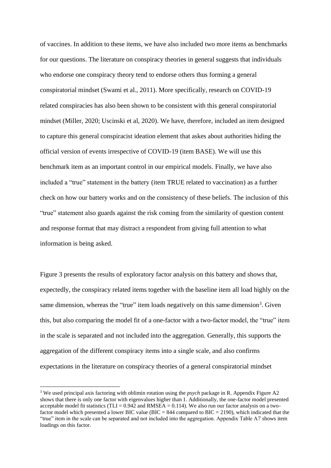of vaccines. In addition to these items, we have also included two more items as benchmarks for our questions. The literature on conspiracy theories in general suggests that individuals who endorse one conspiracy theory tend to endorse others thus forming a general conspiratorial mindset (Swami et al., 2011). More specifically, research on COVID-19 related conspiracies has also been shown to be consistent with this general conspiratorial mindset (Miller, 2020; Uscinski et al, 2020). We have, therefore, included an item designed to capture this general conspiracist ideation element that askes about authorities hiding the official version of events irrespective of COVID-19 (item BASE). We will use this benchmark item as an important control in our empirical models. Finally, we have also included a "true" statement in the battery (item TRUE related to vaccination) as a further check on how our battery works and on the consistency of these beliefs. The inclusion of this "true" statement also guards against the risk coming from the similarity of question content and response format that may distract a respondent from giving full attention to what information is being asked.

Figure 3 presents the results of exploratory factor analysis on this battery and shows that, expectedly, the conspiracy related items together with the baseline item all load highly on the same dimension, whereas the "true" item loads negatively on this same dimension<sup>3</sup>. Given this, but also comparing the model fit of a one-factor with a two-factor model, the "true" item in the scale is separated and not included into the aggregation. Generally, this supports the aggregation of the different conspiracy items into a single scale, and also confirms expectations in the literature on conspiracy theories of a general conspiratorial mindset

<sup>3</sup> We used principal axis factoring with oblimin rotation using the *psych* package in R. Appendix Figure A2 shows that there is only one factor with eigenvalues higher than 1. Additionally, the one-factor model presented acceptable model fit statistics (TLI =  $0.942$  and RMSEA = 0.114). We also run our factor analysis on a twofactor model which presented a lower BIC value (BIC = 844 compared to BIC = 2190), which indicated that the "true" item in the scale can be separated and not included into the aggregation. Appendix Table A7 shows item loadings on this factor.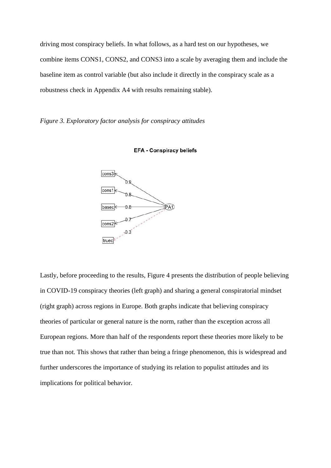driving most conspiracy beliefs. In what follows, as a hard test on our hypotheses, we combine items CONS1, CONS2, and CONS3 into a scale by averaging them and include the baseline item as control variable (but also include it directly in the conspiracy scale as a robustness check in Appendix A4 with results remaining stable).

## *Figure 3. Exploratory factor analysis for conspiracy attitudes*





Lastly, before proceeding to the results, Figure 4 presents the distribution of people believing in COVID-19 conspiracy theories (left graph) and sharing a general conspiratorial mindset (right graph) across regions in Europe. Both graphs indicate that believing conspiracy theories of particular or general nature is the norm, rather than the exception across all European regions. More than half of the respondents report these theories more likely to be true than not. This shows that rather than being a fringe phenomenon, this is widespread and further underscores the importance of studying its relation to populist attitudes and its implications for political behavior.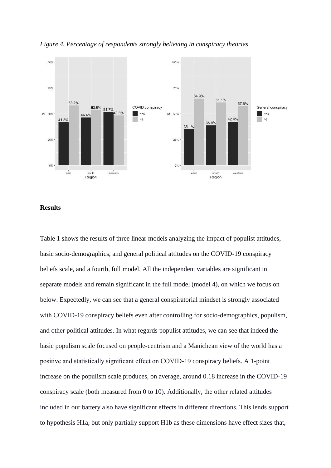

#### *Figure 4. Percentage of respondents strongly believing in conspiracy theories*

#### **Results**

Table 1 shows the results of three linear models analyzing the impact of populist attitudes, basic socio-demographics, and general political attitudes on the COVID-19 conspiracy beliefs scale, and a fourth, full model. All the independent variables are significant in separate models and remain significant in the full model (model 4), on which we focus on below. Expectedly, we can see that a general conspiratorial mindset is strongly associated with COVID-19 conspiracy beliefs even after controlling for socio-demographics, populism, and other political attitudes. In what regards populist attitudes, we can see that indeed the basic populism scale focused on people-centrism and a Manichean view of the world has a positive and statistically significant effect on COVID-19 conspiracy beliefs. A 1-point increase on the populism scale produces, on average, around 0.18 increase in the COVID-19 conspiracy scale (both measured from 0 to 10). Additionally, the other related attitudes included in our battery also have significant effects in different directions. This lends support to hypothesis H1a, but only partially support H1b as these dimensions have effect sizes that,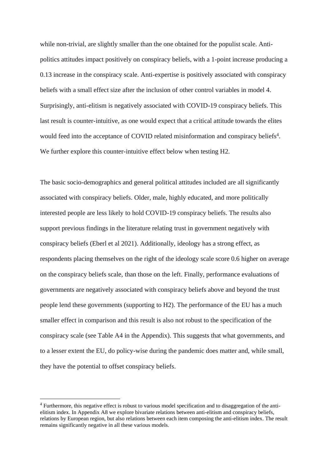while non-trivial, are slightly smaller than the one obtained for the populist scale. Antipolitics attitudes impact positively on conspiracy beliefs, with a 1-point increase producing a 0.13 increase in the conspiracy scale. Anti-expertise is positively associated with conspiracy beliefs with a small effect size after the inclusion of other control variables in model 4. Surprisingly, anti-elitism is negatively associated with COVID-19 conspiracy beliefs. This last result is counter-intuitive, as one would expect that a critical attitude towards the elites would feed into the acceptance of COVID related misinformation and conspiracy beliefs<sup>4</sup>. We further explore this counter-intuitive effect below when testing H2.

The basic socio-demographics and general political attitudes included are all significantly associated with conspiracy beliefs. Older, male, highly educated, and more politically interested people are less likely to hold COVID-19 conspiracy beliefs. The results also support previous findings in the literature relating trust in government negatively with conspiracy beliefs (Eberl et al 2021). Additionally, ideology has a strong effect, as respondents placing themselves on the right of the ideology scale score 0.6 higher on average on the conspiracy beliefs scale, than those on the left. Finally, performance evaluations of governments are negatively associated with conspiracy beliefs above and beyond the trust people lend these governments (supporting to H2). The performance of the EU has a much smaller effect in comparison and this result is also not robust to the specification of the conspiracy scale (see Table A4 in the Appendix). This suggests that what governments, and to a lesser extent the EU, do policy-wise during the pandemic does matter and, while small, they have the potential to offset conspiracy beliefs.

<sup>&</sup>lt;sup>4</sup> Furthermore, this negative effect is robust to various model specification and to disaggregation of the antielitism index. In Appendix A8 we explore bivariate relations between anti-elitism and conspiracy beliefs, relations by European region, but also relations between each item composing the anti-elitism index. The result remains significantly negative in all these various models.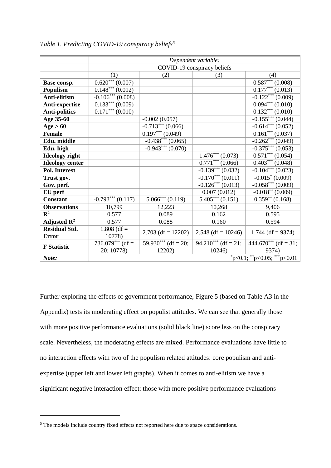|                         | Dependent variable:          |                                  |                                  |                                  |
|-------------------------|------------------------------|----------------------------------|----------------------------------|----------------------------------|
|                         |                              | COVID-19 conspiracy beliefs      |                                  |                                  |
|                         | (1)                          | (2)                              | (3)                              | (4)                              |
| Base consp.             | $0.620***(0.007)$            |                                  |                                  | $0.587***(0.008)$                |
| <b>Populism</b>         | $\overline{0.148***(0.012)}$ |                                  |                                  | $0.177***(0.013)$                |
| Anti-elitism            | $-0.106***$ (0.008)          |                                  |                                  | $-0.122***(0.009)$               |
| Anti-expertise          | $0.133***(0.009)$            |                                  |                                  | $0.094***(0.010)$                |
| <b>Anti-politics</b>    | $0.171***(0.010)$            |                                  |                                  | $0.132***(0.010)$                |
| Age 35-60               |                              | $-0.002(0.057)$                  |                                  | $-0.155***(0.044)$               |
| Age > 60                |                              | $-0.713***$ (0.066)              |                                  | $-0.614***(0.052)$               |
| <b>Female</b>           |                              | $\overline{0.197}^{***}$ (0.049) |                                  | $\overline{0.161}^{***}$ (0.037) |
| Edu. middle             |                              | $-0.438***(0.065)$               |                                  | $-0.262***(0.049)$               |
| Edu. high               |                              | $-0.943***(0.070)$               |                                  | $-0.375***(0.053)$               |
| <b>Ideology</b> right   |                              |                                  | $\overline{1.476}^{***}$ (0.073) | $0.571***$ $(0.054)$             |
| <b>Ideology center</b>  |                              |                                  | $0.771***$ $(0.066)$             | $\overline{0.403^{***}(0.048)}$  |
| <b>Pol. Interest</b>    |                              |                                  | $-0.139***$ (0.032)              | $-0.104***$ (0.023)              |
| Trust gov.              |                              |                                  | $-0.170***(0.011)$               | $-0.015^* (0.009)$               |
| Gov. perf.              |                              |                                  | $-0.126***(0.013)$               | $-0.058***(0.009)$               |
| EU perf                 |                              |                                  | 0.007(0.012)                     | $-0.018**$ (0.009)               |
| <b>Constant</b>         | $-0.793***$ (0.117)          | $5.066***$ (0.119)               | $\overline{5.405}^{***}$ (0.151) | $\overline{0.359}^{**}$ (0.168)  |
| <b>Observations</b>     | 10,799                       | 12,223                           | 10,268                           | 9,406                            |
| $\mathbb{R}^2$          | 0.577                        | 0.089                            | 0.162                            | 0.595                            |
| Adjusted $\mathbb{R}^2$ | 0.577                        | 0.088                            | 0.160                            | 0.594                            |
| <b>Residual Std.</b>    | $1.808$ (df =                | $2.703$ (df = 12202)             | $2.548$ (df = 10246)             | 1.744 (df = $9374$ )             |
| <b>Error</b>            | 10778)                       |                                  |                                  |                                  |
| <b>F</b> Statistic      | $736.079***$ (df =           | 59.930 <sup>***</sup> (df = 20;  | $94.210***$ (df = 21;            | $444.670***$ (df = 31;           |
|                         | 20; 10778)                   | 12202)                           | 10246)                           | 9374)                            |
| Note:                   |                              |                                  |                                  |                                  |

*Table 1. Predicting COVID-19 conspiracy beliefs<sup>5</sup>*

Further exploring the effects of government performance, Figure 5 (based on Table A3 in the Appendix) tests its moderating effect on populist attitudes. We can see that generally those with more positive performance evaluations (solid black line) score less on the conspiracy scale. Nevertheless, the moderating effects are mixed. Performance evaluations have little to no interaction effects with two of the populism related attitudes: core populism and antiexpertise (upper left and lower left graphs). When it comes to anti-elitism we have a significant negative interaction effect: those with more positive performance evaluations

<sup>&</sup>lt;sup>5</sup> The models include country fixed effects not reported here due to space considerations.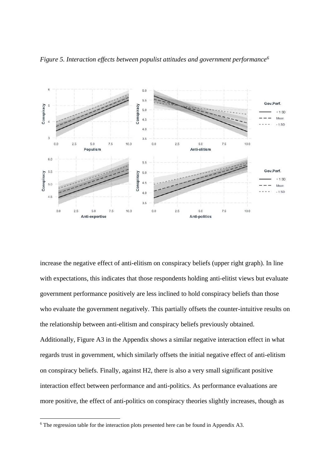

*Figure 5. Interaction effects between populist attitudes and government performance<sup>6</sup>*

increase the negative effect of anti-elitism on conspiracy beliefs (upper right graph). In line with expectations, this indicates that those respondents holding anti-elitist views but evaluate government performance positively are less inclined to hold conspiracy beliefs than those who evaluate the government negatively. This partially offsets the counter-intuitive results on the relationship between anti-elitism and conspiracy beliefs previously obtained. Additionally, Figure A3 in the Appendix shows a similar negative interaction effect in what regards trust in government, which similarly offsets the initial negative effect of anti-elitism on conspiracy beliefs. Finally, against H2, there is also a very small significant positive interaction effect between performance and anti-politics. As performance evaluations are more positive, the effect of anti-politics on conspiracy theories slightly increases, though as

 $6$  The regression table for the interaction plots presented here can be found in Appendix A3.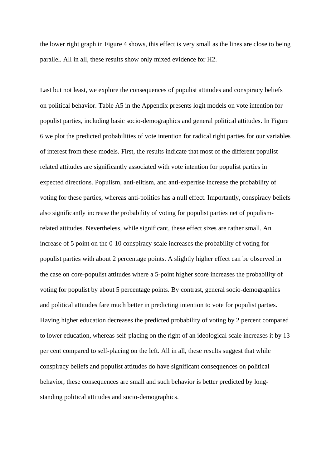the lower right graph in Figure 4 shows, this effect is very small as the lines are close to being parallel. All in all, these results show only mixed evidence for H2.

Last but not least, we explore the consequences of populist attitudes and conspiracy beliefs on political behavior. Table A5 in the Appendix presents logit models on vote intention for populist parties, including basic socio-demographics and general political attitudes. In Figure 6 we plot the predicted probabilities of vote intention for radical right parties for our variables of interest from these models. First, the results indicate that most of the different populist related attitudes are significantly associated with vote intention for populist parties in expected directions. Populism, anti-elitism, and anti-expertise increase the probability of voting for these parties, whereas anti-politics has a null effect. Importantly, conspiracy beliefs also significantly increase the probability of voting for populist parties net of populismrelated attitudes. Nevertheless, while significant, these effect sizes are rather small. An increase of 5 point on the 0-10 conspiracy scale increases the probability of voting for populist parties with about 2 percentage points. A slightly higher effect can be observed in the case on core-populist attitudes where a 5-point higher score increases the probability of voting for populist by about 5 percentage points. By contrast, general socio-demographics and political attitudes fare much better in predicting intention to vote for populist parties. Having higher education decreases the predicted probability of voting by 2 percent compared to lower education, whereas self-placing on the right of an ideological scale increases it by 13 per cent compared to self-placing on the left. All in all, these results suggest that while conspiracy beliefs and populist attitudes do have significant consequences on political behavior, these consequences are small and such behavior is better predicted by longstanding political attitudes and socio-demographics.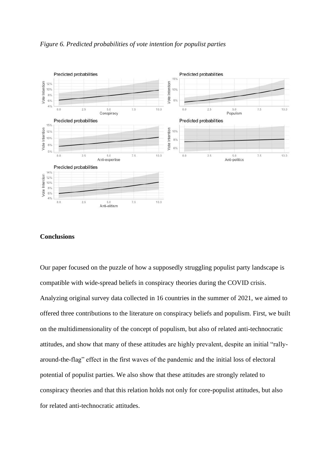

*Figure 6. Predicted probabilities of vote intention for populist parties*

## **Conclusions**

Our paper focused on the puzzle of how a supposedly struggling populist party landscape is compatible with wide-spread beliefs in conspiracy theories during the COVID crisis. Analyzing original survey data collected in 16 countries in the summer of 2021, we aimed to offered three contributions to the literature on conspiracy beliefs and populism. First, we built on the multidimensionality of the concept of populism, but also of related anti-technocratic attitudes, and show that many of these attitudes are highly prevalent, despite an initial "rallyaround-the-flag" effect in the first waves of the pandemic and the initial loss of electoral potential of populist parties. We also show that these attitudes are strongly related to conspiracy theories and that this relation holds not only for core-populist attitudes, but also for related anti-technocratic attitudes.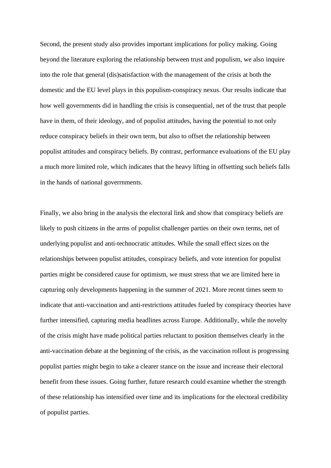Second, the present study also provides important implications for policy making. Going beyond the literature exploring the relationship between trust and populism, we also inquire into the role that general (dis)satisfaction with the management of the crisis at both the domestic and the EU level plays in this populism-conspiracy nexus. Our results indicate that how well governments did in handling the crisis is consequential, net of the trust that people have in them, of their ideology, and of populist attitudes, having the potential to not only reduce conspiracy beliefs in their own term, but also to offset the relationship between populist attitudes and conspiracy beliefs. By contrast, performance evaluations of the EU play a much more limited role, which indicates that the heavy lifting in offsetting such beliefs falls in the hands of national goverrnments.

Finally, we also bring in the analysis the electoral link and show that conspiracy beliefs are likely to push citizens in the arms of populist challenger parties on their own terms, net of underlying populist and anti-technocratic attitudes. While the small effect sizes on the relationships between populist attitudes, conspiracy beliefs, and vote intention for populist parties might be considered cause for optimism, we must stress that we are limited here in capturing only developments happening in the summer of 2021. More recent times seem to indicate that anti-vaccination and anti-restrictions attitudes fueled by conspiracy theories have further intensified, capturing media headlines across Europe. Additionally, while the novelty of the crisis might have made political parties reluctant to position themselves clearly in the anti-vaccination debate at the beginning of the crisis, as the vaccination rollout is progressing populist parties might begin to take a clearer stance on the issue and increase their electoral benefit from these issues. Going further, future research could examine whether the strength of these relationship has intensified over time and its implications for the electoral credibility of populist parties.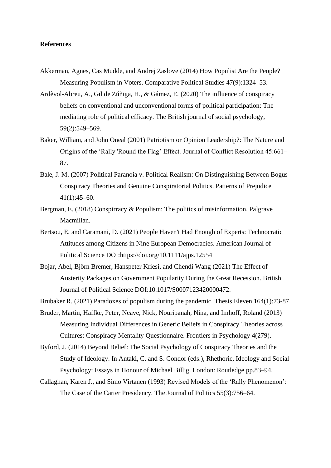### **References**

- Akkerman, Agnes, Cas Mudde, and Andrej Zaslove (2014) How Populist Are the People? Measuring Populism in Voters. Comparative Political Studies 47(9):1324–53.
- Ardèvol-Abreu, A., Gil de Zúñiga, H., & Gámez, E. (2020) The influence of conspiracy beliefs on conventional and unconventional forms of political participation: The mediating role of political efficacy. The British journal of social psychology, 59(2):549–569.
- Baker, William, and John Oneal (2001) Patriotism or Opinion Leadership?: The Nature and Origins of the 'Rally 'Round the Flag' Effect. Journal of Conflict Resolution 45:661– 87.
- Bale, J. M. (2007) Political Paranoia v. Political Realism: On Distinguishing Between Bogus Conspiracy Theories and Genuine Conspiratorial Politics. Patterns of Prejudice 41(1):45–60.
- Bergman, E. (2018) Conspirracy & Populism: The politics of misinformation. Palgrave Macmillan.
- Bertsou, E. and Caramani, D. (2021) People Haven't Had Enough of Experts: Technocratic Attitudes among Citizens in Nine European Democracies. American Journal of Political Science DOI[:https://doi.org/10.1111/ajps.12554](https://doi.org/10.1111/ajps.12554)
- Bojar, Abel, Björn Bremer, Hanspeter Kriesi, and Chendi Wang (2021) The Effect of Austerity Packages on Government Popularity During the Great Recession. British Journal of Political Science DOI:10.1017/S0007123420000472.

Brubaker R. (2021) Paradoxes of populism during the pandemic. Thesis Eleven 164(1):73-87.

- Bruder, Martin, Haffke, Peter, Neave, Nick, Nouripanah, Nina, and Imhoff, Roland (2013) Measuring Individual Differences in Generic Beliefs in Conspiracy Theories across Cultures: Conspiracy Mentality Questionnaire. Frontiers in Psychology 4(279).
- Byford, J. (2014) Beyond Belief: The Social Psychology of Conspiracy Theories and the Study of Ideology. In Antaki, C. and S. Condor (eds.), Rhethoric, Ideology and Social Psychology: Essays in Honour of Michael Billig. London: Routledge pp.83–94.
- Callaghan, Karen J., and Simo Virtanen (1993) Revised Models of the 'Rally Phenomenon': The Case of the Carter Presidency. The Journal of Politics 55(3):756–64.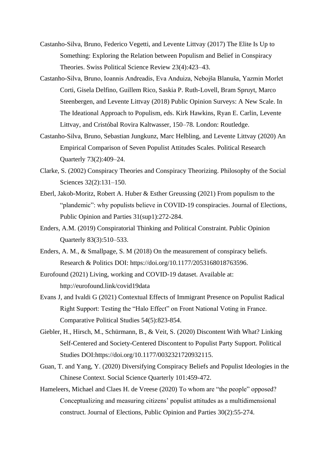- Castanho-Silva, Bruno, Federico Vegetti, and Levente Littvay (2017) The Elite Is Up to Something: Exploring the Relation between Populism and Belief in Conspiracy Theories. Swiss Political Science Review 23(4):423–43.
- Castanho-Silva, Bruno, Ioannis Andreadis, Eva Anduiza, Nebojša Blanuša, Yazmin Morlet Corti, Gisela Delfino, Guillem Rico, Saskia P. Ruth-Lovell, Bram Spruyt, Marco Steenbergen, and Levente Littvay (2018) Public Opinion Surveys: A New Scale. In The Ideational Approach to Populism, eds. Kirk Hawkins, Ryan E. Carlin, Levente Littvay, and Cristóbal Rovira Kaltwasser, 150–78. London: Routledge.
- Castanho-Silva, Bruno, Sebastian Jungkunz, Marc Helbling, and Levente Littvay (2020) An Empirical Comparison of Seven Populist Attitudes Scales. Political Research Quarterly 73(2):409–24.
- Clarke, S. (2002) Conspiracy Theories and Conspiracy Theorizing. Philosophy of the Social Sciences 32(2):131–150.
- Eberl, Jakob-Moritz, Robert A. Huber & Esther Greussing (2021) From populism to the "plandemic": why populists believe in COVID-19 conspiracies. Journal of Elections, Public Opinion and Parties 31(sup1):272-284.
- Enders, A.M. (2019) Conspiratorial Thinking and Political Constraint. Public Opinion Quarterly 83(3):510–533.
- Enders, A. M., & Smallpage, S. M (2018) On the measurement of conspiracy beliefs. Research & Politics DOI: [https://doi.org/10.1177/2053168018763596.](https://doi.org/10.1177/2053168018763596)
- Eurofound (2021) Living, working and COVID-19 dataset. Available at: http://eurofound.link/covid19data
- Evans J, and Ivaldi G (2021) Contextual Effects of Immigrant Presence on Populist Radical Right Support: Testing the "Halo Effect" on Front National Voting in France. Comparative Political Studies 54(5):823-854.
- Giebler, H., Hirsch, M., Schürmann, B., & Veit, S. (2020) Discontent With What? Linking Self-Centered and Society-Centered Discontent to Populist Party Support. Political Studies DOI:https://doi.org/10.1177/0032321720932115.
- Guan, T. and Yang, Y. (2020) Diversifying Conspiracy Beliefs and Populist Ideologies in the Chinese Context. Social Science Quarterly 101:459-472.
- Hameleers, Michael and Claes H. de Vreese (2020) To whom are "the people" opposed? Conceptualizing and measuring citizens' populist attitudes as a multidimensional construct. Journal of Elections, Public Opinion and Parties 30(2):55-274.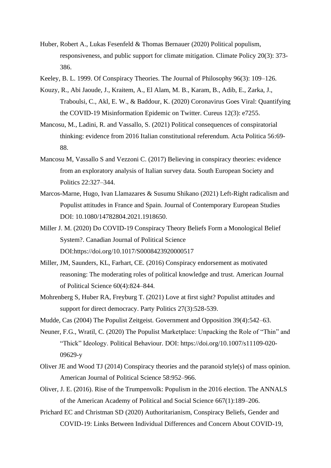- Huber, Robert A., Lukas Fesenfeld & Thomas Bernauer (2020) Political populism, responsiveness, and public support for climate mitigation. Climate Policy 20(3): 373- 386.
- Keeley, B. L. 1999. Of Conspiracy Theories. The Journal of Philosophy 96(3): 109–126.
- Kouzy, R., Abi Jaoude, J., Kraitem, A., El Alam, M. B., Karam, B., Adib, E., Zarka, J., Traboulsi, C., Akl, E. W., & Baddour, K. (2020) Coronavirus Goes Viral: Quantifying the COVID-19 Misinformation Epidemic on Twitter. Cureus 12(3): e7255.
- Mancosu, M., Ladini, R. and Vassallo, S. (2021) Political consequences of conspiratorial thinking: evidence from 2016 Italian constitutional referendum. Acta Politica 56:69- 88.
- Mancosu M, Vassallo S and Vezzoni C. (2017) Believing in conspiracy theories: evidence from an exploratory analysis of Italian survey data. South European Society and Politics 22:327–344.
- Marcos-Marne, Hugo, Ivan Llamazares & Susumu Shikano (2021) Left-Right radicalism and Populist attitudes in France and Spain. Journal of Contemporary European Studies DOI: 10.1080/14782804.2021.1918650.
- Miller J. M. (2020) Do COVID-19 Conspiracy Theory Beliefs Form a Monological Belief System?. Canadian Journal of Political Science DOI:https://doi.org/10.1017/S0008423920000517
- Miller, JM, Saunders, KL, Farhart, CE. (2016) Conspiracy endorsement as motivated reasoning: The moderating roles of political knowledge and trust. American Journal of Political Science 60(4):824–844.
- Mohrenberg S, Huber RA, Freyburg T. (2021) Love at first sight? Populist attitudes and support for direct democracy. Party Politics 27(3):528-539.
- Mudde, Cas (2004) The Populist Zeitgeist. Government and Opposition 39(4):542–63.
- Neuner, F.G., Wratil, C. (2020) The Populist Marketplace: Unpacking the Role of "Thin" and "Thick" Ideology. Political Behaviour. DOI: https://doi.org/10.1007/s11109-020- 09629-y
- Oliver JE and Wood TJ (2014) Conspiracy theories and the paranoid style(s) of mass opinion. American Journal of Political Science 58:952–966.
- Oliver, J. E. (2016). Rise of the Trumpenvolk: Populism in the 2016 election. The ANNALS of the American Academy of Political and Social Science 667(1):189–206.
- Prichard EC and Christman SD (2020) Authoritarianism, Conspiracy Beliefs, Gender and COVID-19: Links Between Individual Differences and Concern About COVID-19,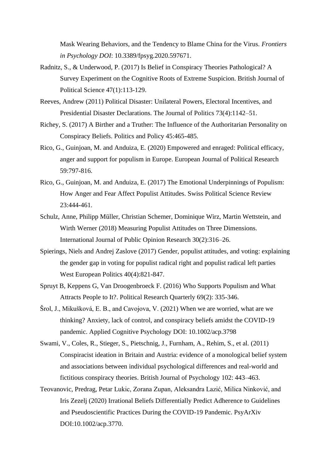Mask Wearing Behaviors, and the Tendency to Blame China for the Virus. *Frontiers in Psychology DOI*: 10.3389/fpsyg.2020.597671.

- Radnitz, S., & Underwood, P. (2017) Is Belief in Conspiracy Theories Pathological? A Survey Experiment on the Cognitive Roots of Extreme Suspicion. British Journal of Political Science 47(1):113-129.
- Reeves, Andrew (2011) Political Disaster: Unilateral Powers, Electoral Incentives, and Presidential Disaster Declarations. The Journal of Politics 73(4):1142–51.
- Richey, S. (2017) A Birther and a Truther: The Influence of the Authoritarian Personality on Conspiracy Beliefs. Politics and Policy 45:465-485.
- Rico, G., Guinjoan, M. and Anduiza, E. (2020) Empowered and enraged: Political efficacy, anger and support for populism in Europe. European Journal of Political Research 59:797-816.
- Rico, G., Guinjoan, M. and Anduiza, E. (2017) The Emotional Underpinnings of Populism: How Anger and Fear Affect Populist Attitudes. Swiss Political Science Review 23:444-461.
- Schulz, Anne, Philipp Müller, Christian Schemer, Dominique Wirz, Martin Wettstein, and Wirth Werner (2018) Measuring Populist Attitudes on Three Dimensions. International Journal of Public Opinion Research 30(2):316–26.
- Spierings, Niels and Andrej Zaslove (2017) Gender, populist attitudes, and voting: explaining the gender gap in voting for populist radical right and populist radical left parties West European Politics 40(4):821-847.
- Spruyt B, Keppens G, Van Droogenbroeck F. (2016) Who Supports Populism and What Attracts People to It?. Political Research Quarterly 69(2): 335-346.
- Šrol, J., Mikušková, E. B., and Cavojova, V. (2021) When we are worried, what are we thinking? Anxiety, lack of control, and conspiracy beliefs amidst the COVID-19 pandemic. Applied Cognitive Psychology DOI: 10.1002/acp.3798
- Swami, V., Coles, R., Stieger, S., Pietschnig, J., Furnham, A., Rehim, S., et al. (2011) Conspiracist ideation in Britain and Austria: evidence of a monological belief system and associations between individual psychological differences and real-world and fictitious conspiracy theories. British Journal of Psychology 102: 443–463.
- Teovanovic, Predrag, Petar Lukic, Zorana Zupan, Aleksandra Lazić, Milica Ninković, and Iris Zezelj (2020) Irrational Beliefs Differentially Predict Adherence to Guidelines and Pseudoscientific Practices During the COVID-19 Pandemic. PsyArXiv DOI:10.1002/acp.3770.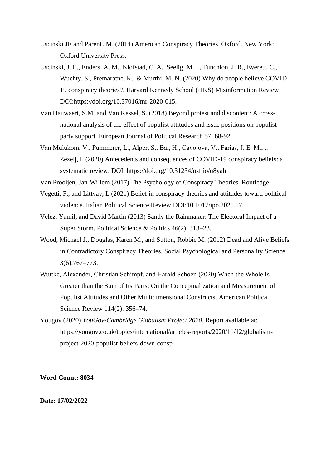- Uscinski JE and Parent JM. (2014) American Conspiracy Theories. Oxford. New York: Oxford University Press.
- Uscinski, J. E., Enders, A. M., Klofstad, C. A., Seelig, M. I., Funchion, J. R., Everett, C., Wuchty, S., Premaratne, K., & Murthi, M. N. (2020) Why do people believe COVID-19 conspiracy theories?. Harvard Kennedy School (HKS) Misinformation Review DOI:https://doi.org/10.37016/mr-2020-015.
- Van Hauwaert, S.M. and Van Kessel, S. (2018) Beyond protest and discontent: A crossnational analysis of the effect of populist attitudes and issue positions on populist party support. European Journal of Political Research 57: 68-92.
- Van Mulukom, V., Pummerer, L., Alper, S., Bai, H., Cavojova, V., Farias, J. E. M., … Zezelj, I. (2020) Antecedents and consequences of COVID-19 conspiracy beliefs: a systematic review. DOI: https://doi.org/10.31234/osf.io/u8yah

Van Prooijen, Jan-Willem (2017) The Psychology of Conspiracy Theories. Routledge

- Vegetti, F., and Littvay, L (2021) Belief in conspiracy theories and attitudes toward political violence. Italian Political Science Review DOI:10.1017/ipo.2021.17
- Velez, Yamil, and David Martin (2013) Sandy the Rainmaker: The Electoral Impact of a Super Storm. Political Science & Politics 46(2): 313–23.
- Wood, Michael J., Douglas, Karen M., and Sutton, Robbie M. (2012) Dead and Alive Beliefs in Contradictory Conspiracy Theories. Social Psychological and Personality Science 3(6):767–773.
- Wuttke, Alexander, Christian Schimpf, and Harald Schoen (2020) When the Whole Is Greater than the Sum of Its Parts: On the Conceptualization and Measurement of Populist Attitudes and Other Multidimensional Constructs. American Political Science Review 114(2): 356–74.
- Yougov (2020) *YouGov-Cambridge Globalism Project 2020*. Report available at: [https://yougov.co.uk/topics/international/articles-reports/2020/11/12/globalism](https://yougov.co.uk/topics/international/articles-reports/2020/11/12/globalism-project-2020-populist-beliefs-down-consp)[project-2020-populist-beliefs-down-consp](https://yougov.co.uk/topics/international/articles-reports/2020/11/12/globalism-project-2020-populist-beliefs-down-consp)

**Word Count: 8034**

**Date: 17/02/2022**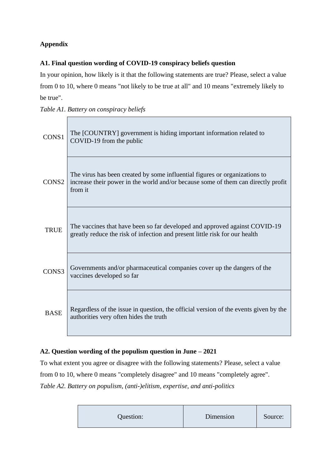# **Appendix**

## **A1. Final question wording of COVID-19 conspiracy beliefs question**

In your opinion, how likely is it that the following statements are true? Please, select a value from 0 to 10, where 0 means "not likely to be true at all" and 10 means "extremely likely to be true".

|  | Table A1. Battery on conspiracy beliefs |  |
|--|-----------------------------------------|--|
|  |                                         |  |

| CONS1             | The [COUNTRY] government is hiding important information related to<br>COVID-19 from the public                                                                            |
|-------------------|----------------------------------------------------------------------------------------------------------------------------------------------------------------------------|
| CONS <sub>2</sub> | The virus has been created by some influential figures or organizations to<br>increase their power in the world and/or because some of them can directly profit<br>from it |
| <b>TRUE</b>       | The vaccines that have been so far developed and approved against COVID-19<br>greatly reduce the risk of infection and present little risk for our health                  |
| CONS3             | Governments and/or pharmaceutical companies cover up the dangers of the<br>vaccines developed so far                                                                       |
| <b>BASE</b>       | Regardless of the issue in question, the official version of the events given by the<br>authorities very often hides the truth                                             |

# **A2. Question wording of the populism question in June – 2021**

To what extent you agree or disagree with the following statements? Please, select a value from 0 to 10, where 0 means "completely disagree" and 10 means "completely agree". *Table A2. Battery on populism, (anti-)elitism, expertise, and anti-politics*

| Question: | Dimension | Source: |
|-----------|-----------|---------|
|-----------|-----------|---------|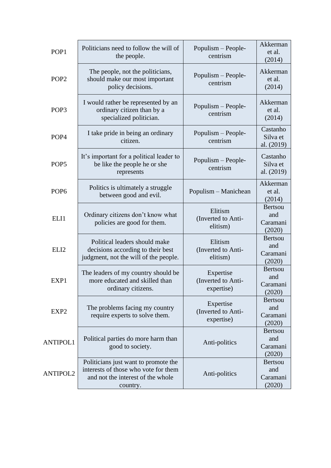| POP1             | Politicians need to follow the will of<br>the people.                                                                         | Populism - People-<br>centrism                | Akkerman<br>et al.<br>(2014)                |
|------------------|-------------------------------------------------------------------------------------------------------------------------------|-----------------------------------------------|---------------------------------------------|
| POP <sub>2</sub> | The people, not the politicians,<br>should make our most important<br>policy decisions.                                       | Populism - People-<br>centrism                | Akkerman<br>et al.<br>(2014)                |
| POP <sub>3</sub> | I would rather be represented by an<br>ordinary citizen than by a<br>specialized politician.                                  | Populism - People-<br>centrism                | Akkerman<br>et al.<br>(2014)                |
| POP <sub>4</sub> | I take pride in being an ordinary<br>citizen.                                                                                 | Populism - People-<br>centrism                | Castanho<br>Silva et<br>al. (2019)          |
| POP <sub>5</sub> | It's important for a political leader to<br>be like the people he or she<br>represents                                        | Populism - People-<br>centrism                | Castanho<br>Silva et<br>al. (2019)          |
| POP <sub>6</sub> | Politics is ultimately a struggle<br>between good and evil.                                                                   | Populism - Manichean                          |                                             |
| ELI1             | Ordinary citizens don't know what<br>policies are good for them.                                                              | Elitism<br>(Inverted to Anti-<br>elitism)     | <b>Bertsou</b><br>and<br>Caramani<br>(2020) |
| ELI <sub>2</sub> | Political leaders should make<br>decisions according to their best<br>judgment, not the will of the people.                   | Elitism<br>(Inverted to Anti-<br>elitism)     | <b>Bertsou</b><br>and<br>Caramani<br>(2020) |
| EXP1             | The leaders of my country should be<br>more educated and skilled than<br>ordinary citizens.                                   | Expertise<br>(Inverted to Anti-<br>expertise) | <b>Bertsou</b><br>and<br>Caramani<br>(2020) |
| EXP2             | The problems facing my country<br>require experts to solve them.                                                              | Expertise<br>(Inverted to Anti-<br>expertise) | <b>Bertsou</b><br>and<br>Caramani<br>(2020) |
| <b>ANTIPOL1</b>  | Political parties do more harm than<br>good to society.                                                                       | Anti-politics                                 | <b>Bertsou</b><br>and<br>Caramani<br>(2020) |
| <b>ANTIPOL2</b>  | Politicians just want to promote the<br>interests of those who vote for them<br>and not the interest of the whole<br>country. | Anti-politics                                 | <b>Bertsou</b><br>and<br>Caramani<br>(2020) |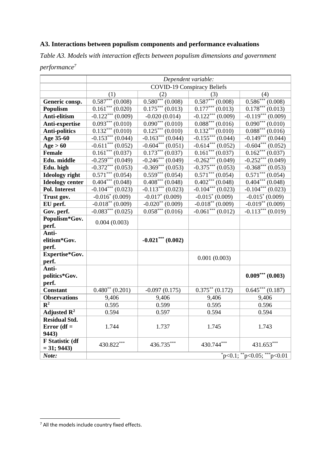## **A3. Interactions between populism components and performance evaluations**

*Table A3. Models with interaction effects between populism dimensions and government performance<sup>7</sup>*

|                                       | Dependent variable:                |                                 |                                                  |                                               |
|---------------------------------------|------------------------------------|---------------------------------|--------------------------------------------------|-----------------------------------------------|
|                                       | <b>COVID-19 Conspiracy Beliefs</b> |                                 |                                                  |                                               |
|                                       | (1)                                | (2)                             | (3)                                              | (4)                                           |
| Generic consp.                        | $0.587***(0.008)$                  | $\overline{0.580^{***}(0.008)}$ | $\overline{0.587}^{***}(0.008)$                  | $0.586***(0.008)$                             |
| <b>Populism</b>                       | $\overline{0.161}^{***}(0.020)$    | $\overline{0.175^{***}(0.013)}$ | $0.177***$ $(0.013)$                             | $0.178***(0.013)$                             |
| Anti-elitism                          | $-0.122***(0.009)$                 | $-0.020(0.014)$                 |                                                  | $-0.119***(0.009)$                            |
| Anti-expertise                        | $0.093***$ $(0.010)$               | $0.090***$ $(0.010)$            | $\frac{-0.122^{***}(0.009)}{0.088^{***}(0.016)}$ | $\overline{0.090***(0.010)}$                  |
| <b>Anti-politics</b>                  | $\overline{0.132}^{***}(0.010)$    | $0.125***(0.010)$               | $0.132***(0.010)$                                | $\overline{0.088***(0.016)}$                  |
| Age 35-60                             | $-0.153***(0.044)$                 | $-0.163***$ $(0.044)$           | $-0.155***(0.044)$                               | $-0.149***(0.044)$                            |
| Age > 60                              | $-0.611***$ $(0.052)$              | $-0.604***$ $(0.051)$           | $-0.614***(0.052)$                               | $-0.604***(0.052)$                            |
| <b>Female</b>                         | $\overline{0.161}^{***}(0.037)$    | $\overline{0.173^{***}(0.037)}$ | $\overline{0.161}^{***}$ $\overline{(0.037)}$    | $0.162***(0.037)$                             |
| Edu. middle                           | $-0.259***(0.049)$                 | $-0.246***(0.049)$              | $-0.262***(0.049)$                               | $-0.252***(0.049)$                            |
| Edu. high                             | $-0.372***(0.053)$                 | $-0.369***(0.053)$              | $-0.375***(0.053)$                               | $-0.368***(0.053)$                            |
| <b>Ideology</b> right                 | $0.571***(0.054)$                  | $\overline{0.559^{***}(0.054)}$ | $\overline{0.571^{***}(0.054)}$                  | $\overline{0.571}^{***}$ $\overline{(0.054)}$ |
| <b>Ideology center</b>                | $\overline{0.404^{***}(0.048)}$    | $0.408***(0.048)$               | $\overline{0.402}^{***}(0.048)$                  | $\overline{0.404^{***}(0.048)}$               |
| <b>Pol. Interest</b>                  | $-0.104***$ (0.023)                | $-0.113***$ (0.023)             | $-0.104***$ (0.023)                              | $-0.104***(0.023)$                            |
| Trust gov.                            | $-0.016^* (0.009)$                 | $-0.017^* (0.009)$              | $-0.015^* (0.009)$                               | $-0.015^* (0.009)$                            |
| EU perf.                              | $-0.018**$ (0.009)                 | $-0.020**$ (0.009)              | $-0.018**$ (0.009)                               | $-0.019**$ (0.009)                            |
| Gov. perf.                            | $-0.083***(0.025)$                 | $0.058***(0.016)$               | $-0.061***(0.012)$                               | $-0.113***(0.019)$                            |
| Populism*Gov.                         | 0.004(0.003)                       |                                 |                                                  |                                               |
| perf.                                 |                                    |                                 |                                                  |                                               |
| Anti-                                 |                                    |                                 |                                                  |                                               |
| elitism*Gov.                          |                                    | $-0.021***$ (0.002)             |                                                  |                                               |
| perf.                                 |                                    |                                 |                                                  |                                               |
| Expertise*Gov.                        |                                    |                                 | 0.001(0.003)                                     |                                               |
| perf.                                 |                                    |                                 |                                                  |                                               |
| Anti-                                 |                                    |                                 |                                                  |                                               |
| politics*Gov.                         |                                    |                                 |                                                  | $0.009***$ (0.003)                            |
| perf.<br><b>Constant</b>              | $0.480^{**}$ $(0.201)$             |                                 | $0.375**$ $(0.172)$                              | $0.645***(0.187)$                             |
|                                       |                                    | $-0.097(0.175)$                 |                                                  |                                               |
| <b>Observations</b><br>$\mathbf{R}^2$ | 9,406<br>0.595                     | 9,406<br>0.599                  | 9,406<br>0.595                                   | 9,406<br>0.596                                |
| Adjusted $\mathbb{R}^2$               | 0.594                              | 0.597                           | 0.594                                            | 0.594                                         |
| <b>Residual Std.</b>                  |                                    |                                 |                                                  |                                               |
| Error $(df =$                         | 1.744                              | 1.737                           | 1.745                                            | 1.743                                         |
| 9443)                                 |                                    |                                 |                                                  |                                               |
| F Statistic (df                       |                                    |                                 |                                                  |                                               |
| $= 31; 9443$                          | 430.822***                         | 436.735***                      | 430.744***                                       | 431.653***                                    |
| Note:                                 |                                    |                                 |                                                  | $p<0.1;$ **p<0.05; ***p<0.01                  |

<sup>7</sup> All the models include country fixed effects.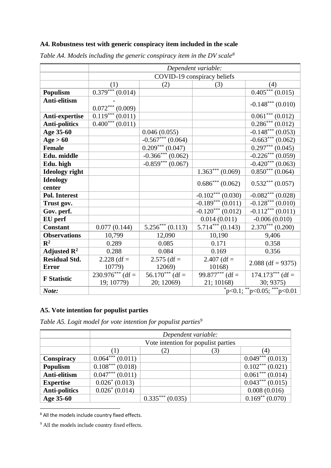## **A4. Robustness test with generic conspiracy item included in the scale**

|                         | Dependent variable:             |                             |                                  |                                  |
|-------------------------|---------------------------------|-----------------------------|----------------------------------|----------------------------------|
|                         |                                 | COVID-19 conspiracy beliefs |                                  |                                  |
|                         | (1)                             | (2)                         | (3)                              | (4)                              |
| Populism                | $\overline{0.379^{***}(0.014)}$ |                             |                                  | $0.405***(0.015)$                |
| Anti-elitism            |                                 |                             |                                  |                                  |
|                         | $0.072***(0.009)$               |                             |                                  | $-0.148***$ (0.010)              |
| Anti-expertise          | $\overline{0.119^{***}(0.011)}$ |                             |                                  | $0.061***(0.012)$                |
| <b>Anti-politics</b>    | $0.400***(0.011)$               |                             |                                  | $0.286***(0.012)$                |
| Age 35-60               |                                 | 0.046(0.055)                |                                  | $-0.148***(0.053)$               |
| Age > 60                |                                 | $-0.567***$ (0.064)         |                                  | $-0.663***$ (0.062)              |
| <b>Female</b>           |                                 | $0.209***(0.047)$           |                                  | $0.297***(0.045)$                |
| Edu. middle             |                                 | $-0.366***$ (0.062)         |                                  | $-0.226***$ (0.059)              |
| Edu. high               |                                 | $-0.859***(0.067)$          |                                  | $-0.420***(0.063)$               |
| <b>Ideology</b> right   |                                 |                             | $\overline{1.363}^{***}$ (0.069) | $0.850***(0.064)$                |
| <b>Ideology</b>         |                                 |                             | $0.686***(0.062)$                | $0.532***(0.057)$                |
| center                  |                                 |                             |                                  |                                  |
| <b>Pol. Interest</b>    |                                 |                             | $-0.102***(0.030)$               | $-0.082***(0.028)$               |
| Trust gov.              |                                 |                             | $-0.189***(0.011)$               | $-0.128***(0.010)$               |
| Gov. perf.              |                                 |                             | $-0.120***(0.012)$               | $-0.112***(0.011)$               |
| EU perf                 |                                 |                             | 0.014(0.011)                     | $-0.006(0.010)$                  |
| <b>Constant</b>         | 0.077(0.144)                    | $5.256***(0.113)$           | $5.714***$ (0.143)               | $2.370***$ (0.200)               |
| <b>Observations</b>     | 10,799                          | 12,090                      | 10,190                           | 9,406                            |
| $\mathbf{R}^2$          | 0.289                           | 0.085                       | 0.171                            | 0.358                            |
| Adjusted $\mathbb{R}^2$ | 0.288                           | 0.084                       | 0.169                            | 0.356                            |
| <b>Residual Std.</b>    | 2.228 (df =                     | $2.575$ (df =               | 2.407 (df =                      | $2.088$ (df = 9375)              |
| <b>Error</b>            | 10779)                          | 12069)                      | 10168)                           |                                  |
| <b>F</b> Statistic      | $230.976***$ (df =              | $56.170***$ (df =           | 99.877*** (df =                  | $174.173***$ (df =               |
|                         | 19; 10779)                      | 20; 12069)                  | 21; 10168)                       | 30; 9375)                        |
| Note:                   |                                 |                             |                                  | $*_{p<0.1;}$ **p<0.05; ***p<0.01 |

*Table A4. Models including the generic conspiracy item in the DV scale<sup>8</sup>*

# **A5. Vote intention for populist parties**

*Table A5. Logit model for vote intention for populist parties<sup>9</sup>*

|                      | Dependent variable:              |                                     |     |                                  |
|----------------------|----------------------------------|-------------------------------------|-----|----------------------------------|
|                      |                                  | Vote intention for populist parties |     |                                  |
|                      | $\left(1\right)$                 | (2)                                 | (3) | (4)                              |
| Conspiracy           | $0.064***(0.011)$                |                                     |     | $0.049***(0.013)$                |
| <b>Populism</b>      | $\overline{0.108***}$ (0.018)    |                                     |     | $\overline{0.102^{***}}$ (0.021) |
| Anti-elitism         | $\overline{0.047}^{***}$ (0.011) |                                     |     | $0.061***(0.014)$                |
| <b>Expertise</b>     | $0.026^* (0.013)$                |                                     |     | $0.043***(0.015)$                |
| <b>Anti-politics</b> | $0.026^* (0.014)$                |                                     |     | 0.008(0.016)                     |
| Age 35-60            |                                  | $0.335***(0.035)$                   |     | $0.169**$ (0.070)                |

<sup>8</sup> All the models include country fixed effects.

<sup>9</sup> All the models include country fixed effects.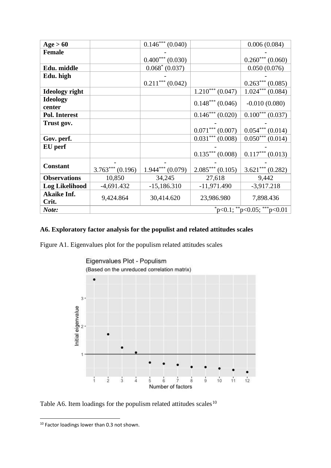| Age > 60              |                    | $0.146***(0.040)$ |                                  | 0.006(0.084)                  |
|-----------------------|--------------------|-------------------|----------------------------------|-------------------------------|
| <b>Female</b>         |                    |                   |                                  |                               |
|                       |                    | $0.400***(0.030)$ |                                  | $0.260***(0.060)$             |
| Edu. middle           |                    | $0.068^* (0.037)$ |                                  | 0.050(0.076)                  |
| Edu. high             |                    |                   |                                  |                               |
|                       |                    | $0.211***(0.042)$ |                                  | $0.263***(0.085)$             |
| <b>Ideology right</b> |                    |                   | $\overline{1.210}^{***}$ (0.047) | $1.024***(0.084)$             |
| <b>Ideology</b>       |                    |                   | $0.148***(0.046)$                | $-0.010(0.080)$               |
| center                |                    |                   |                                  |                               |
| <b>Pol. Interest</b>  |                    |                   | $0.146***(0.020)$                | $0.100***(0.037)$             |
| Trust gov.            |                    |                   |                                  |                               |
|                       |                    |                   | $0.071***(0.007)$                | $0.054***(0.014)$             |
| Gov. perf.            |                    |                   | $0.031***(0.008)$                | $0.050***(0.014)$             |
| EU perf               |                    |                   |                                  |                               |
|                       |                    |                   | $0.135***(0.008)$                | $0.117***(0.013)$             |
| <b>Constant</b>       |                    |                   |                                  |                               |
|                       | $3.763***$ (0.196) | $1.944***(0.079)$ | $2.085***(0.105)$                | $3.621***(0.282)$             |
| <b>Observations</b>   | 10,850             | 34,245            | 27,618                           | 9,442                         |
| <b>Log Likelihood</b> | $-4,691.432$       | $-15,186.310$     | $-11,971.490$                    | $-3,917.218$                  |
| <b>Akaike Inf.</b>    | 9,424.864          | 30,414.620        | 23,986.980                       | 7,898.436                     |
| Crit.                 |                    |                   |                                  |                               |
| Note:                 |                    |                   |                                  | $p<0.1$ ; **p<0.05; ***p<0.01 |

## **A6. Exploratory factor analysis for the populist and related attitudes scales**

Figure A1. Eigenvalues plot for the populism related attitudes scales



Table A6. Item loadings for the populism related attitudes scales $10$ 

<sup>&</sup>lt;sup>10</sup> Factor loadings lower than 0.3 not shown.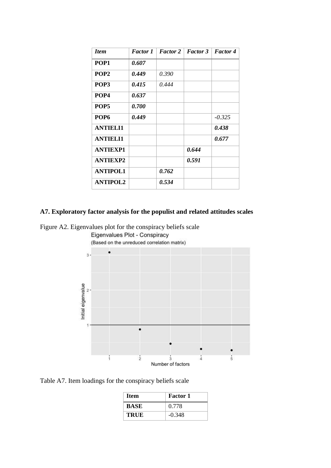| <b>Item</b>      | <b>Factor</b> 1 | <b>Factor 2</b> | <b>Factor 3</b> | <b>Factor 4</b> |
|------------------|-----------------|-----------------|-----------------|-----------------|
| POP1             | 0.607           |                 |                 |                 |
| POP <sub>2</sub> | 0.449           | 0.390           |                 |                 |
| POP3             | 0.415           | 0.444           |                 |                 |
| POP <sub>4</sub> | 0.637           |                 |                 |                 |
| POP <sub>5</sub> | <i>0.700</i>    |                 |                 |                 |
| POP <sub>6</sub> | 0.449           |                 |                 | $-0.325$        |
| <b>ANTIELI1</b>  |                 |                 |                 | 0.438           |
| <b>ANTIELI1</b>  |                 |                 |                 | 0.677           |
| <b>ANTIEXP1</b>  |                 |                 | 0.644           |                 |
| <b>ANTIEXP2</b>  |                 |                 | 0.591           |                 |
| <b>ANTIPOL1</b>  |                 | 0.762           |                 |                 |
| <b>ANTIPOL2</b>  |                 | 0.534           |                 |                 |

## **A7. Exploratory factor analysis for the populist and related attitudes scales**

Figure A2. Eigenvalues plot for the conspiracy beliefs scale



Table A7. Item loadings for the conspiracy beliefs scale

| Item        | <b>Factor 1</b> |
|-------------|-----------------|
| <b>BASE</b> | 0.778           |
| <b>TRUE</b> | $-0.348$        |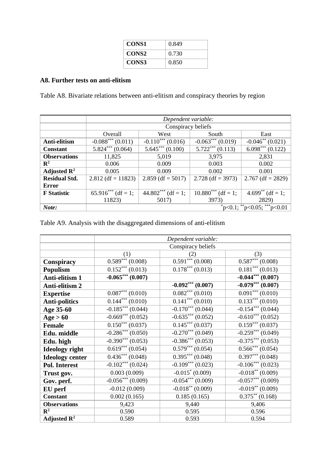| CONS1             | 0.849 |
|-------------------|-------|
| CONS <sub>2</sub> | 0.730 |
| CONS3             | 0.850 |

# **A8. Further tests on anti-elitism**

Table A8. Bivariate relations between anti-elitism and conspiracy theories by region

|                         | Dependent variable:                |                      |                                  |                                  |  |
|-------------------------|------------------------------------|----------------------|----------------------------------|----------------------------------|--|
|                         | Conspiracy beliefs                 |                      |                                  |                                  |  |
|                         | Overall                            | West                 | South                            | East                             |  |
| Anti-elitism            | $-0.088***(0.011)$                 | $-0.110***(0.016)$   | $-0.063***(0.019)$               | $-0.046^{**}$ (0.021)            |  |
| <b>Constant</b>         | $\overline{5.824}^{***}$ (0.064)   |                      | $\overline{5.722}^{***}$ (0.113) | $\overline{6.098}^{***}$ (0.122) |  |
| <b>Observations</b>     | 11,825                             |                      | 3,975                            | 2,831                            |  |
| $\mathbf{R}^2$          | 0.006                              | 0.009                | 0.003                            | 0.002                            |  |
| Adjusted $\mathbb{R}^2$ | 0.005                              |                      | 0.002                            | 0.001                            |  |
| <b>Residual Std.</b>    | $2.812$ (df = 11823)               |                      | $2.728$ (df = 3973)              | $2.767$ (df = 2829)              |  |
| Error                   |                                    | $44.802***$ (df = 1; |                                  |                                  |  |
| <b>F</b> Statistic      | $\overline{65.916}^{***}$ (df = 1; |                      | $10.880***$ (df = 1;             | $4.699**$ (df = 1;               |  |
|                         | 11823)                             | 5017)                | <b>3973</b> )                    | 2829)                            |  |
| Note:                   | $p<0.1$ ; **p<0.05; ***p<0.01      |                      |                                  |                                  |  |

|  |  | Table A9. Analysis with the disaggregated dimensions of anti-elitism |  |  |
|--|--|----------------------------------------------------------------------|--|--|
|  |  |                                                                      |  |  |
|  |  |                                                                      |  |  |

|                         | Dependent variable:              |                     |                                 |  |  |
|-------------------------|----------------------------------|---------------------|---------------------------------|--|--|
|                         | Conspiracy beliefs               |                     |                                 |  |  |
|                         | (1)                              | (2)                 | (3)                             |  |  |
| Conspiracy              | $\overline{0.589}^{***}$ (0.008) | $0.591***(0.008)$   | $\overline{0.587}^{***}(0.008)$ |  |  |
| <b>Populism</b>         | $0.152***(0.013)$                | $0.178***(0.013)$   | $0.181***(0.013)$               |  |  |
| Anti-elitism 1          | $-0.065***(0.007)$               |                     | $-0.044***$ (0.007)             |  |  |
| Anti-elitism 2          |                                  | $-0.092***$ (0.007) | $-0.079***$ (0.007)             |  |  |
| <b>Expertise</b>        | $0.087***(0.010)$                | $0.082***(0.010)$   | $0.091***(0.010)$               |  |  |
| <b>Anti-politics</b>    | $0.144***(0.010)$                | $0.141***(0.010)$   | $0.133***(0.010)$               |  |  |
| Age 35-60               | $-0.185***$ (0.044)              | $-0.170***$ (0.044) | $-0.154***(0.044)$              |  |  |
| Age > 60                | $-0.669***(0.052)$               | $-0.635***(0.052)$  | $-0.610***(0.052)$              |  |  |
| <b>Female</b>           | $\overline{0.150}^{***}$ (0.037) | $0.145***(0.037)$   | $0.159***(0.037)$               |  |  |
| Edu. middle             | $-0.286***(0.050)$               | $-0.270***(0.049)$  | $-0.259***$ (0.049)             |  |  |
| Edu. high               | $-0.390***(0.053)$               | $-0.386***(0.053)$  | $-0.375***(0.053)$              |  |  |
| <b>Ideology</b> right   | $0.619***(0.054)$                | $0.579***(0.054)$   | $0.566***(0.054)$               |  |  |
| <b>Ideology center</b>  | $0.436***(0.048)$                | $0.395***(0.048)$   | $0.397***(0.048)$               |  |  |
| <b>Pol. Interest</b>    | $-0.102***$ (0.024)              | $-0.109***$ (0.023) | $-0.106***(0.023)$              |  |  |
| Trust gov.              | 0.003(0.009)                     | $-0.015^* (0.009)$  | $-0.018**$ (0.009)              |  |  |
| Gov. perf.              | $-0.056***(0.009)$               | $-0.054***(0.009)$  | $-0.057***(0.009)$              |  |  |
| EU perf                 | $-0.012(0.009)$                  | $-0.018**$ (0.009)  | $-0.019**$ (0.009)              |  |  |
| <b>Constant</b>         | 0.002(0.165)                     | 0.185(0.165)        | $0.375**$ (0.168)               |  |  |
| <b>Observations</b>     | 9,423                            | 9,440               | 9,406                           |  |  |
| $\mathbf{R}^2$          | 0.590<br>0.595                   |                     | 0.596                           |  |  |
| Adjusted $\mathbb{R}^2$ | 0.589<br>0.593                   |                     | 0.594                           |  |  |